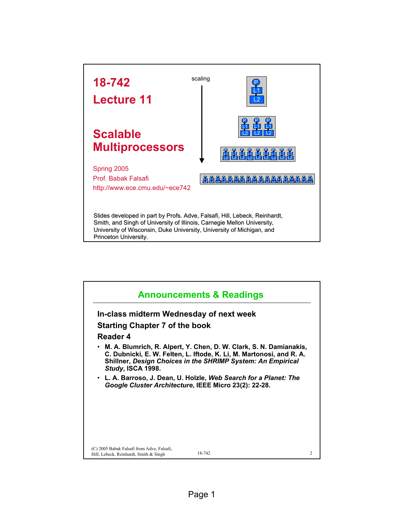

| <b>Announcements &amp; Readings</b>                                                  |                                                                                                                                                                                                             |  |
|--------------------------------------------------------------------------------------|-------------------------------------------------------------------------------------------------------------------------------------------------------------------------------------------------------------|--|
| In-class midterm Wednesday of next week                                              |                                                                                                                                                                                                             |  |
| Starting Chapter 7 of the book                                                       |                                                                                                                                                                                                             |  |
| Reader 4                                                                             |                                                                                                                                                                                                             |  |
| Study, ISCA 1998.                                                                    | • M. A. Blumrich, R. Alpert, Y. Chen, D. W. Clark, S. N. Damianakis,<br>C. Dubnicki, E. W. Felten, L. Iftode, K. Li, M. Martonosi, and R. A.<br>Shillner, Design Choices in the SHRIMP System: An Empirical |  |
|                                                                                      | • L. A. Barroso, J. Dean, U. Holzle, <i>Web Search for a Planet: The</i><br>Google Cluster Architecture, IEEE Micro 23(2): 22-28.                                                                           |  |
|                                                                                      |                                                                                                                                                                                                             |  |
|                                                                                      |                                                                                                                                                                                                             |  |
|                                                                                      |                                                                                                                                                                                                             |  |
|                                                                                      |                                                                                                                                                                                                             |  |
| (C) 2005 Babak Falsafi from Adve, Falsafi,<br>Hill, Lebeck, Reinhardt, Smith & Singh | 18-742                                                                                                                                                                                                      |  |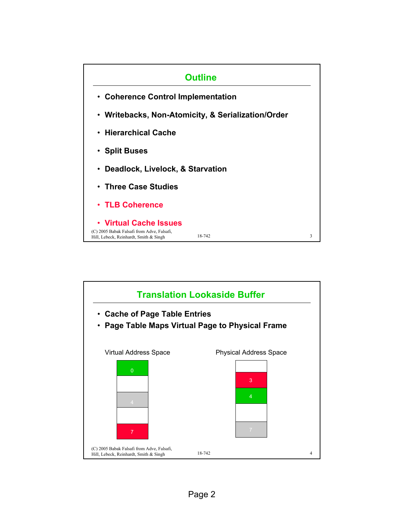

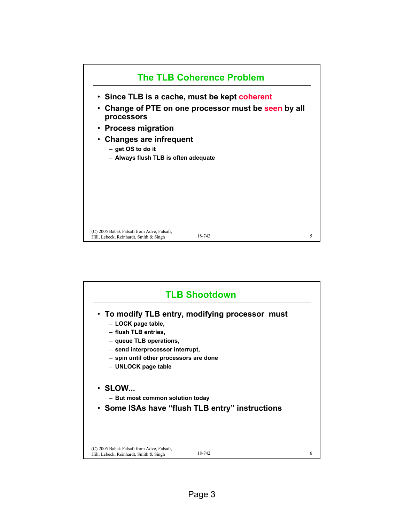

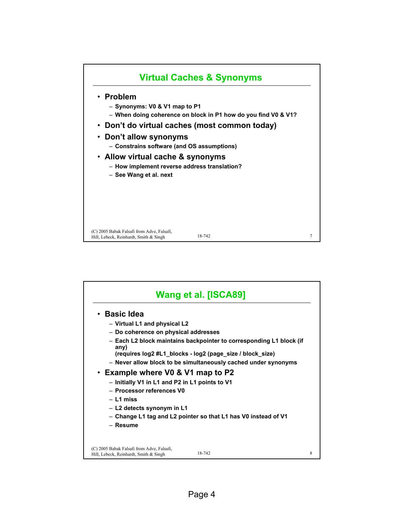

| Wang et al. [ISCA89]                                                                           |   |  |
|------------------------------------------------------------------------------------------------|---|--|
| • Basic Idea                                                                                   |   |  |
| - Virtual L1 and physical L2                                                                   |   |  |
| - Do coherence on physical addresses                                                           |   |  |
| - Each L2 block maintains backpointer to corresponding L1 block (if<br>any)                    |   |  |
| (requires log2 #L1 blocks - log2 (page size / block size)                                      |   |  |
| - Never allow block to be simultaneously cached under synonyms                                 |   |  |
| • Example where V0 & V1 map to P2                                                              |   |  |
| - Initially V1 in L1 and P2 in L1 points to V1                                                 |   |  |
| - Processor references V0                                                                      |   |  |
| $-$ L1 miss                                                                                    |   |  |
| $-$ L2 detects synonym in L1                                                                   |   |  |
| - Change L1 tag and L2 pointer so that L1 has V0 instead of V1                                 |   |  |
| - Resume                                                                                       |   |  |
|                                                                                                |   |  |
| (C) 2005 Babak Falsafi from Adve, Falsafi,<br>18-742<br>Hill, Lebeck, Reinhardt, Smith & Singh | 8 |  |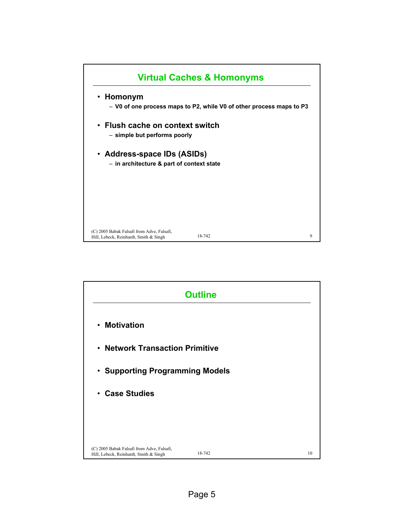

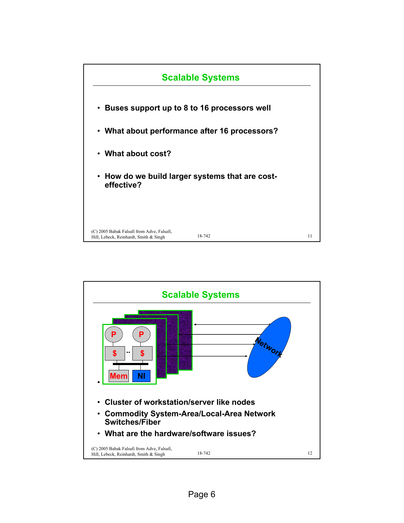

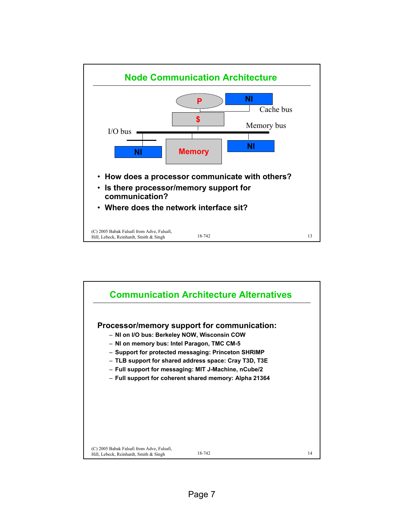

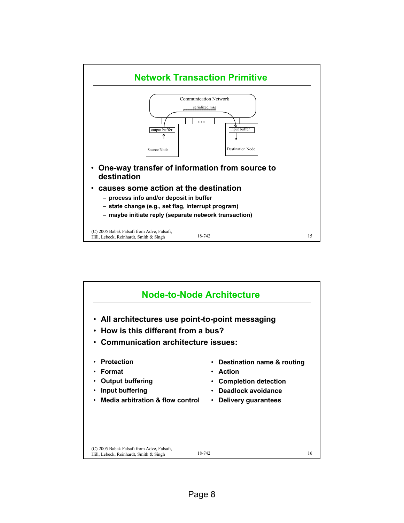

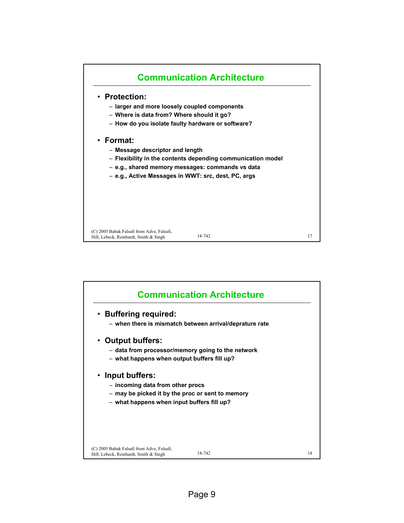

| <b>Communication Architecture</b>                                                              |    |
|------------------------------------------------------------------------------------------------|----|
| • Buffering required:                                                                          |    |
| - when there is mismatch between arrival/deprature rate                                        |    |
| <b>Output buffers:</b><br>$\bullet$                                                            |    |
| - data from processor/memory going to the network                                              |    |
| - what happens when output buffers fill up?                                                    |    |
| • Input buffers:                                                                               |    |
| - incoming data from other procs                                                               |    |
| - may be picked it by the proc or sent to memory                                               |    |
| - what happens when input buffers fill up?                                                     |    |
|                                                                                                |    |
|                                                                                                |    |
|                                                                                                |    |
| (C) 2005 Babak Falsafi from Adve, Falsafi,<br>18-742<br>Hill, Lebeck, Reinhardt, Smith & Singh | 18 |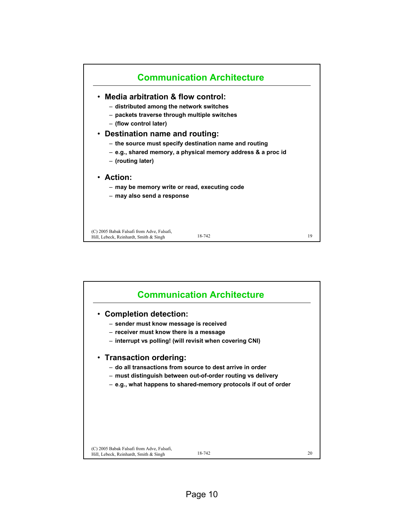

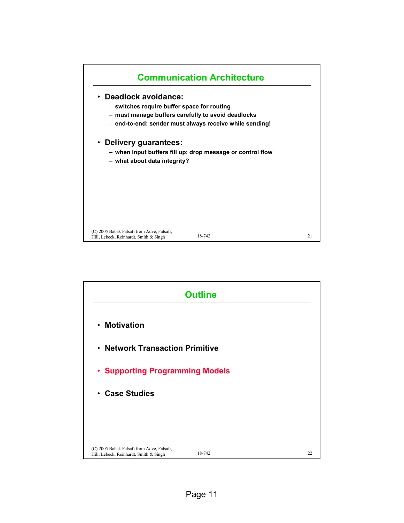

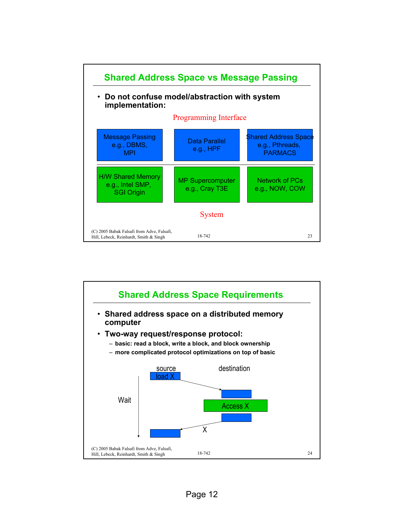

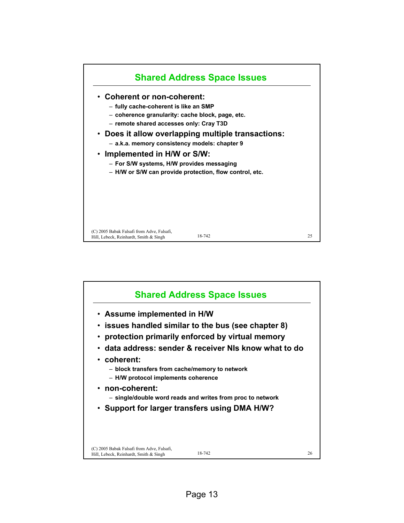

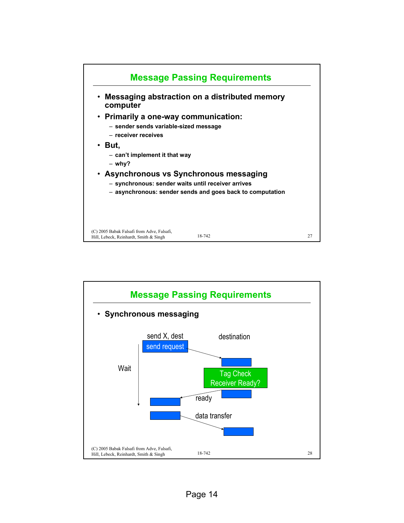

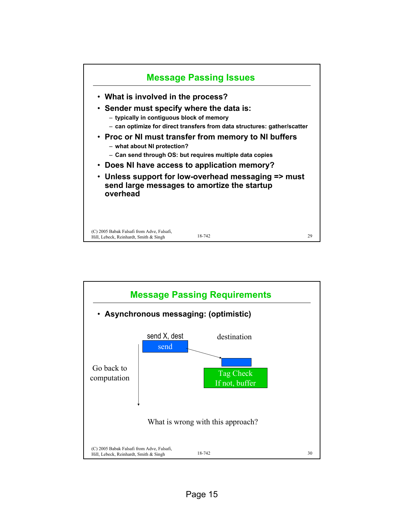

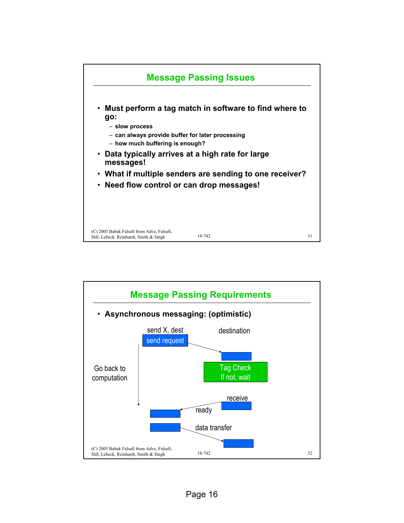